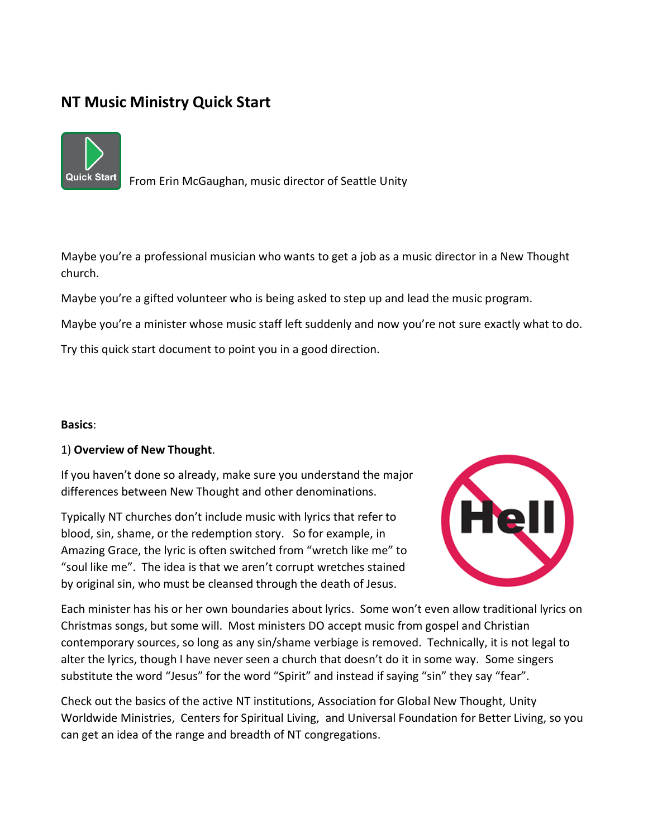# **NT Music Ministry Quick Start**



From Erin McGaughan, music director of Seattle Unity

Maybe you're a professional musician who wants to get a job as a music director in a New Thought church.

Maybe you're a gifted volunteer who is being asked to step up and lead the music program.

Maybe you're a minister whose music staff left suddenly and now you're not sure exactly what to do.

Try this quick start document to point you in a good direction.

## **Basics**:

## 1) **Overview of New Thought**.

If you haven't done so already, make sure you understand the major differences between New Thought and other denominations.

Typically NT churches don't include music with lyrics that refer to blood, sin, shame, or the redemption story. So for example, in Amazing Grace, the lyric is often switched from "wretch like me" to "soul like me". The idea is that we aren't corrupt wretches stained by original sin, who must be cleansed through the death of Jesus.



Each minister has his or her own boundaries about lyrics. Some won't even allow traditional lyrics on Christmas songs, but some will. Most ministers DO accept music from gospel and Christian contemporary sources, so long as any sin/shame verbiage is removed. Technically, it is not legal to alter the lyrics, though I have never seen a church that doesn't do it in some way. Some singers substitute the word "Jesus" for the word "Spirit" and instead if saying "sin" they say "fear".

Check out the basics of the active NT institutions, Association for Global New Thought, Unity Worldwide Ministries, Centers for Spiritual Living, and Universal Foundation for Better Living, so you can get an idea of the range and breadth of NT congregations.